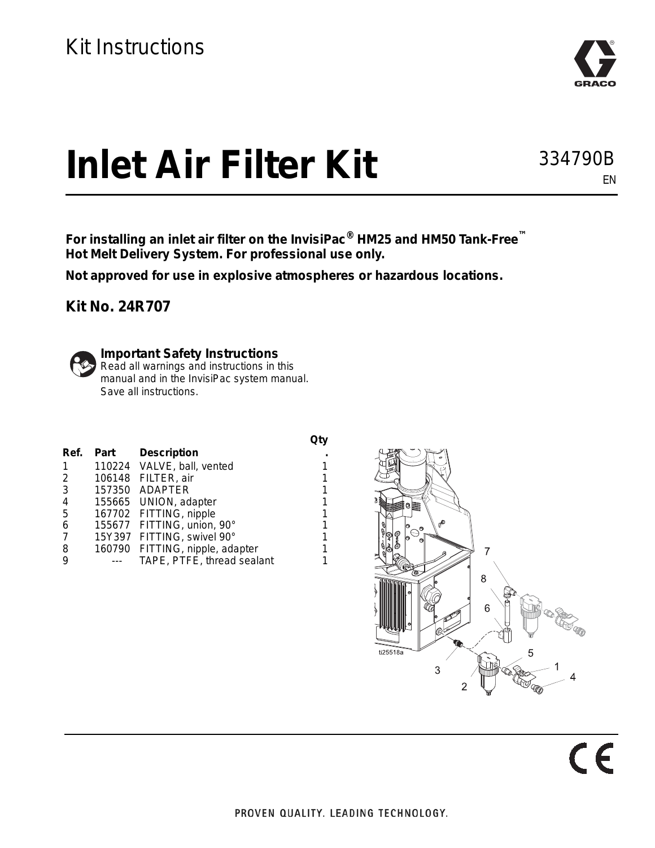

334790B

EN

## **Inlet Air Filter Kit**

**For installing an inlet air filter on the InvisiPac® HM25 and HM50 Tank-Free™ Hot Melt Delivery System. For professional use only.**

> **Qty .**

**Not approved for use in explosive atmospheres or hazardous locations.** 

**Kit No. 24R707**



## **Important Safety Instructions**

Read all warnings and instructions in this manual and in the InvisiPac system manual. Save all instructions.

| Ref.           | Part | <b>Description</b>              | ٠ |
|----------------|------|---------------------------------|---|
| 1              |      | 110224 VALVE, ball, vented      | 1 |
| 2              |      | 106148 FILTER, air              | 1 |
| 3              |      | 157350 ADAPTER                  | 1 |
| 4              |      | 155665 UNION, adapter           | 1 |
| 5              |      | 167702 FITTING, nipple          | 1 |
| 6              |      | 155677 FITTING, union, 90°      | 1 |
| $\overline{7}$ |      | 15Y397 FITTING, swivel 90°      | 1 |
| 8              |      | 160790 FITTING, nipple, adapter | 1 |
| 9              |      | TAPE, PTFE, thread sealant      | 1 |